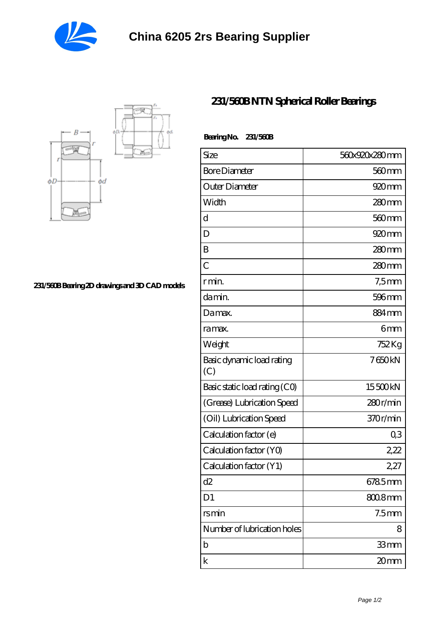



**[231/560B Bearing 2D drawings and 3D CAD models](https://www.beb-piazzasantoronzo.com/pic-771840.html)**

## **[231/560B NTN Spherical Roller Bearings](https://www.beb-piazzasantoronzo.com/cylindrical-roller-bearing/231-560b.html)**

| Bearing No. 231/560B |  |
|----------------------|--|
|                      |  |

| Size                             | 560x920x280mm     |
|----------------------------------|-------------------|
| <b>Bore Diameter</b>             | 560 mm            |
| Outer Diameter                   | 920 <sub>mm</sub> |
| Width                            | $280$ mm          |
| d                                | $560 \text{mm}$   |
| D                                | $920$ mm          |
| B                                | $280$ mm          |
| $\overline{C}$                   | 280mm             |
| r min.                           | $7,5$ mm          |
| da min.                          | 596 <sub>mm</sub> |
| Damax.                           | 884mm             |
| ra max.                          | 6mm               |
| Weight                           | 752 Kg            |
| Basic dynamic load rating<br>(C) | 7650kN            |
| Basic static load rating (CO)    | 15500kN           |
| (Grease) Lubrication Speed       | 280r/min          |
| (Oil) Lubrication Speed          | 370r/min          |
| Calculation factor (e)           | Q3                |
| Calculation factor (YO)          | 2,22              |
| Calculation factor (Y1)          | 2,27              |
| d2                               | 6785mm            |
| D <sub>1</sub>                   | $8008$ mm         |
| rsmin                            | 7.5 <sub>mm</sub> |
| Number of lubrication holes      | 8                 |
| b                                | 33mm              |
| k                                | 20mm              |